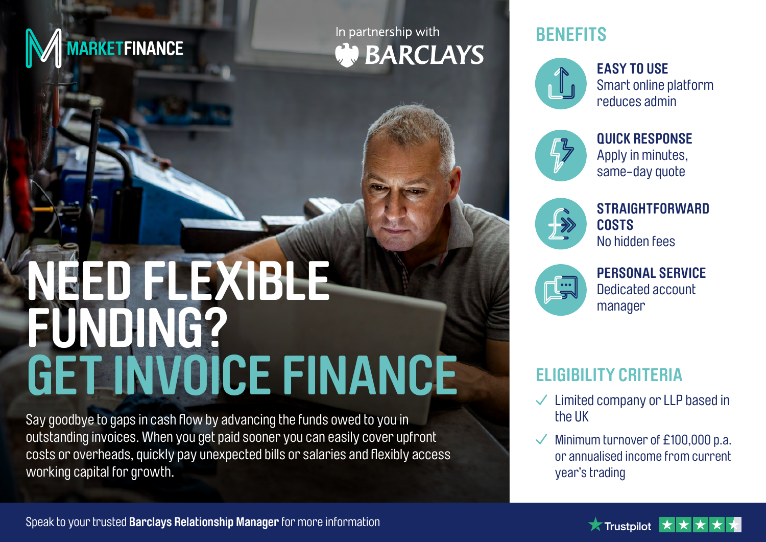

# In partnership with **WEARCLAYS**

# **BENEFITS**



**EASY TO USE** Smart online platform reduces admin



**QUICK RESPONSE** Apply in minutes, same-day quote



**STRAIGHTFORWARD COSTS** No hidden fees



**PERSONAL SERVICE**

# **ELIGIBILITY CRITERIA**

- $\checkmark$  Limited company or LLP based in the UK
- Minimum turnover of £100,000 p.a. or annualised income from current year's trading

# NEED FLEXIBLE **And Account the Contract of Account** FUNDING? **GET INVOICE FINANCE**

Say goodbye to gaps in cash flow by advancing the funds owed to you in outstanding invoices. When you get paid sooner you can easily cover upfront costs or overheads, quickly pay unexpected bills or salaries and flexibly access working capital for growth.

Speak to your trusted **Barclays Relationship Manager** for more information